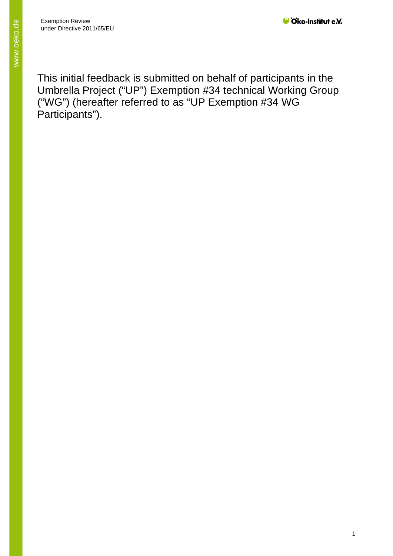This initial feedback is submitted on behalf of participants in the Umbrella Project ("UP") Exemption #34 technical Working Group ("WG") (hereafter referred to as "UP Exemption #34 WG Participants").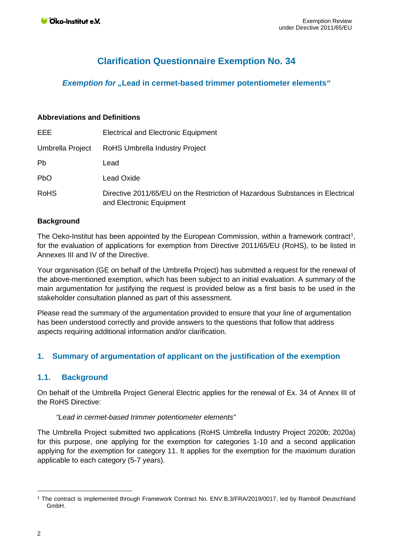# **Clarification Questionnaire Exemption No. 34**

# *Exemption for "***Lead in cermet-based trimmer potentiometer elements***"*

#### **Abbreviations and Definitions**

| EEE.             | <b>Electrical and Electronic Equipment</b>                                                                |
|------------------|-----------------------------------------------------------------------------------------------------------|
| Umbrella Project | RoHS Umbrella Industry Project                                                                            |
| Pb               | Lead                                                                                                      |
| <b>PbO</b>       | Lead Oxide                                                                                                |
| <b>RoHS</b>      | Directive 2011/65/EU on the Restriction of Hazardous Substances in Electrical<br>and Electronic Equipment |

## **Background**

The Oeko-Institut has been appointed by the European Commission, within a framework contract<sup>[1](#page-1-0)</sup>, for the evaluation of applications for exemption from Directive 2011/65/EU (RoHS), to be listed in Annexes III and IV of the Directive.

Your organisation (GE on behalf of the Umbrella Project) has submitted a request for the renewal of the above-mentioned exemption, which has been subject to an initial evaluation. A summary of the main argumentation for justifying the request is provided below as a first basis to be used in the stakeholder consultation planned as part of this assessment.

Please read the summary of the argumentation provided to ensure that your line of argumentation has been understood correctly and provide answers to the questions that follow that address aspects requiring additional information and/or clarification.

# **1. Summary of argumentation of applicant on the justification of the exemption**

# **1.1. Background**

On behalf of the Umbrella Project General Electric applies for the renewal of Ex. 34 of Annex III of the RoHS Directive:

#### *"Lead in cermet-based trimmer potentiometer elements"*

The Umbrella Project submitted two applications (RoHS Umbrella Industry Project 2020b; 2020a) for this purpose, one applying for the exemption for categories 1-10 and a second application applying for the exemption for category 11. It applies for the exemption for the maximum duration applicable to each category (5-7 years).

<span id="page-1-0"></span><sup>1</sup> The contract is implemented through Framework Contract No. ENV.B.3/FRA/2019/0017, led by Ramboll Deutschland GmbH.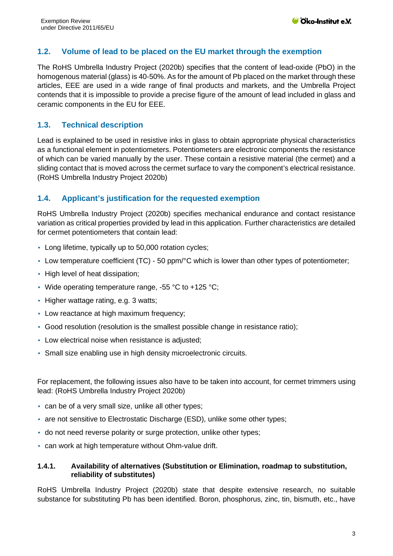# **1.2. Volume of lead to be placed on the EU market through the exemption**

The RoHS Umbrella Industry Project (2020b) specifies that the content of lead-oxide (PbO) in the homogenous material (glass) is 40-50%. As for the amount of Pb placed on the market through these articles, EEE are used in a wide range of final products and markets, and the Umbrella Project contends that it is impossible to provide a precise figure of the amount of lead included in glass and ceramic components in the EU for EEE.

## **1.3. Technical description**

Lead is explained to be used in resistive inks in glass to obtain appropriate physical characteristics as a functional element in potentiometers. Potentiometers are electronic components the resistance of which can be varied manually by the user. These contain a resistive material (the cermet) and a sliding contact that is moved across the cermet surface to vary the component's electrical resistance. (RoHS Umbrella Industry Project 2020b)

## **1.4. Applicant's justification for the requested exemption**

RoHS Umbrella Industry Project (2020b) specifies mechanical endurance and contact resistance variation as critical properties provided by lead in this application. Further characteristics are detailed for cermet potentiometers that contain lead:

- Long lifetime, typically up to 50,000 rotation cycles;
- Low temperature coefficient (TC) 50 ppm/°C which is lower than other types of potentiometer;
- High level of heat dissipation:
- Wide operating temperature range,  $-55$  °C to  $+125$  °C;
- Higher wattage rating, e.g. 3 watts;
- Low reactance at high maximum frequency;
- Good resolution (resolution is the smallest possible change in resistance ratio);
- Low electrical noise when resistance is adjusted;
- Small size enabling use in high density microelectronic circuits.

For replacement, the following issues also have to be taken into account, for cermet trimmers using lead: (RoHS Umbrella Industry Project 2020b)

- can be of a very small size, unlike all other types;
- are not sensitive to Electrostatic Discharge (ESD), unlike some other types;
- do not need reverse polarity or surge protection, unlike other types;
- can work at high temperature without Ohm-value drift.

## **1.4.1. Availability of alternatives (Substitution or Elimination, roadmap to substitution, reliability of substitutes)**

RoHS Umbrella Industry Project (2020b) state that despite extensive research, no suitable substance for substituting Pb has been identified. Boron, phosphorus, zinc, tin, bismuth, etc., have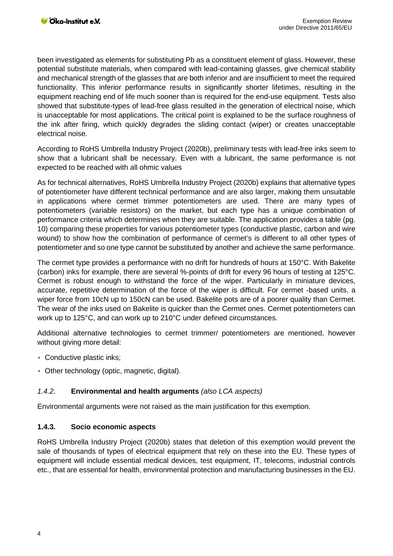been investigated as elements for substituting Pb as a constituent element of glass. However, these potential substitute materials, when compared with lead-containing glasses, give chemical stability and mechanical strength of the glasses that are both inferior and are insufficient to meet the required functionality. This inferior performance results in significantly shorter lifetimes, resulting in the equipment reaching end of life much sooner than is required for the end-use equipment. Tests also showed that substitute-types of lead-free glass resulted in the generation of electrical noise, which is unacceptable for most applications. The critical point is explained to be the surface roughness of the ink after firing, which quickly degrades the sliding contact (wiper) or creates unacceptable electrical noise.

According to RoHS Umbrella Industry Project (2020b), preliminary tests with lead-free inks seem to show that a lubricant shall be necessary. Even with a lubricant, the same performance is not expected to be reached with all ohmic values

As for technical alternatives, RoHS Umbrella Industry Project (2020b) explains that alternative types of potentiometer have different technical performance and are also larger, making them unsuitable in applications where cermet trimmer potentiometers are used. There are many types of potentiometers (variable resistors) on the market, but each type has a unique combination of performance criteria which determines when they are suitable. The application provides a table (pg. 10) comparing these properties for various potentiometer types (conductive plastic, carbon and wire wound) to show how the combination of performance of cermet's is different to all other types of potentiometer and so one type cannot be substituted by another and achieve the same performance.

The cermet type provides a performance with no drift for hundreds of hours at 150°C. With Bakelite (carbon) inks for example, there are several %-points of drift for every 96 hours of testing at 125°C. Cermet is robust enough to withstand the force of the wiper. Particularly in miniature devices, accurate, repetitive determination of the force of the wiper is difficult. For cermet -based units, a wiper force from 10cN up to 150cN can be used. Bakelite pots are of a poorer quality than Cermet. The wear of the inks used on Bakelite is quicker than the Cermet ones. Cermet potentiometers can work up to 125°C, and can work up to 210°C under defined circumstances.

Additional alternative technologies to cermet trimmer/ potentiometers are mentioned, however without giving more detail:

- Conductive plastic inks;
- Other technology (optic, magnetic, digital).

## *1.4.2.* **Environmental and health arguments** *(also LCA aspects)*

Environmental arguments were not raised as the main justification for this exemption.

#### **1.4.3. Socio economic aspects**

RoHS Umbrella Industry Project (2020b) states that deletion of this exemption would prevent the sale of thousands of types of electrical equipment that rely on these into the EU. These types of equipment will include essential medical devices, test equipment, IT, telecoms, industrial controls etc., that are essential for health, environmental protection and manufacturing businesses in the EU.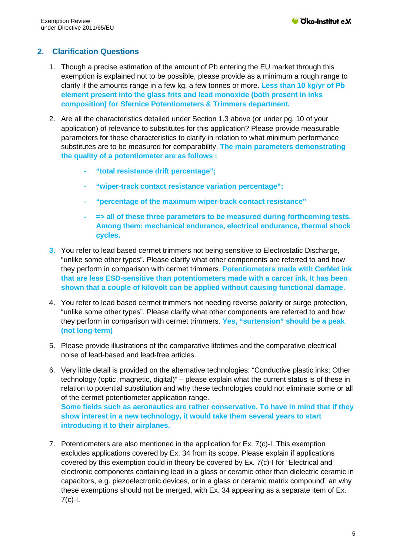# **2. Clarification Questions**

- 1. Though a precise estimation of the amount of Pb entering the EU market through this exemption is explained not to be possible, please provide as a minimum a rough range to clarify if the amounts range in a few kg, a few tonnes or more. **Less than 10 kg/yr of Pb element present into the glass frits and lead monoxide (both present in inks composition) for Sfernice Potentiometers & Trimmers department.**
- 2. Are all the characteristics detailed under Section 1.3 above (or under pg. 10 of your application) of relevance to substitutes for this application? Please provide measurable parameters for these characteristics to clarify in relation to what minimum performance substitutes are to be measured for comparability. **The main parameters demonstrating the quality of a potentiometer are as follows :**
	- **- "total resistance drift percentage";**
	- **- "wiper-track contact resistance variation percentage";**
	- **- "percentage of the maximum wiper-track contact resistance"**
	- **- => all of these three parameters to be measured during forthcoming tests. Among them: mechanical endurance, electrical endurance, thermal shock cycles.**
- **3.** You refer to lead based cermet trimmers not being sensitive to Electrostatic Discharge, "unlike some other types". Please clarify what other components are referred to and how they perform in comparison with cermet trimmers. **Potentiometers made with CerMet ink that are less ESD-sensitive than potentiometers made with a carcer ink. It has been shown that a couple of kilovolt can be applied without causing functional damage.**
- 4. You refer to lead based cermet trimmers not needing reverse polarity or surge protection, "unlike some other types". Please clarify what other components are referred to and how they perform in comparison with cermet trimmers. **Yes, "surtension" should be a peak (not long-term)**
- 5. Please provide illustrations of the comparative lifetimes and the comparative electrical noise of lead-based and lead-free articles.
- 6. Very little detail is provided on the alternative technologies: "Conductive plastic inks; Other technology (optic, magnetic, digital)" – please explain what the current status is of these in relation to potential substitution and why these technologies could not eliminate some or all of the cermet potentiometer application range. **Some fields such as aeronautics are rather conservative. To have in mind that if they show interest in a new technology, it would take them several years to start introducing it to their airplanes.**
- 7. Potentiometers are also mentioned in the application for Ex. 7(c)-I. This exemption excludes applications covered by Ex. 34 from its scope. Please explain if applications covered by this exemption could in theory be covered by Ex. 7(c)-I for "Electrical and electronic components containing lead in a glass or ceramic other than dielectric ceramic in capacitors, e.g. piezoelectronic devices, or in a glass or ceramic matrix compound" an why these exemptions should not be merged, with Ex. 34 appearing as a separate item of Ex.  $7(c)-1$ .